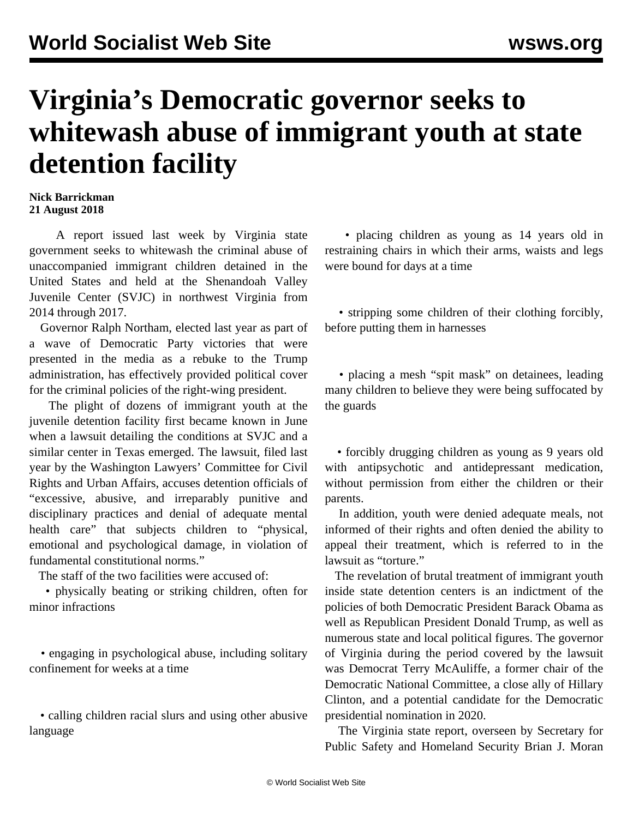## **Virginia's Democratic governor seeks to whitewash abuse of immigrant youth at state detention facility**

## **Nick Barrickman 21 August 2018**

 A report issued last week by Virginia state government seeks to whitewash the criminal abuse of unaccompanied immigrant children detained in the United States and held at the Shenandoah Valley Juvenile Center (SVJC) in northwest Virginia from 2014 through 2017.

 Governor Ralph Northam, elected last year as part of a wave of Democratic Party victories that were presented in the media as a rebuke to the Trump administration, has effectively provided political cover for the criminal policies of the right-wing president.

 The plight of dozens of immigrant youth at the juvenile detention facility first became known in [June](/en/articles/2018/06/22/immi-j22.html) when a lawsuit detailing the conditions at SVJC and a similar center in Texas emerged. The lawsuit, filed last year by the Washington Lawyers' Committee for Civil Rights and Urban Affairs, accuses detention officials of "excessive, abusive, and irreparably punitive and disciplinary practices and denial of adequate mental health care" that subjects children to "physical, emotional and psychological damage, in violation of fundamental constitutional norms."

The staff of the two facilities were accused of:

 • physically beating or striking children, often for minor infractions

 • engaging in psychological abuse, including solitary confinement for weeks at a time

 • calling children racial slurs and using other abusive language

 • placing children as young as 14 years old in restraining chairs in which their arms, waists and legs were bound for days at a time

 • stripping some children of their clothing forcibly, before putting them in harnesses

 • placing a mesh "spit mask" on detainees, leading many children to believe they were being suffocated by the guards

 • forcibly drugging children as young as 9 years old with antipsychotic and antidepressant medication, without permission from either the children or their parents.

 In addition, youth were denied adequate meals, not informed of their rights and often denied the ability to appeal their treatment, which is referred to in the lawsuit as "torture."

 The revelation of brutal treatment of immigrant youth inside state detention centers is an indictment of the policies of both Democratic President Barack Obama as well as Republican President Donald Trump, as well as numerous state and local political figures. The governor of Virginia during the period covered by the lawsuit was Democrat Terry McAuliffe, a former chair of the Democratic National Committee, a close ally of Hillary Clinton, and a potential candidate for the Democratic presidential nomination in 2020.

 The Virginia state report, overseen by Secretary for Public Safety and Homeland Security Brian J. Moran